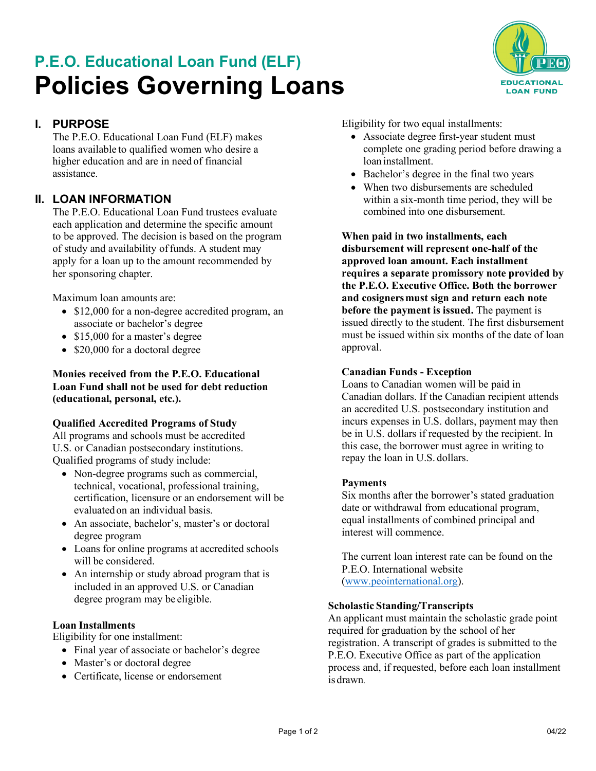# **P.E.O. Educational Loan Fund (ELF) Policies Governing Loans**



# **I. PURPOSE**

The P.E.O. Educational Loan Fund (ELF) makes loans available to qualified women who desire a higher education and are in need of financial assistance.

# **II. LOAN INFORMATION**

The P.E.O. Educational Loan Fund trustees evaluate each application and determine the specific amount to be approved. The decision is based on the program of study and availability offunds. A student may apply for a loan up to the amount recommended by her sponsoring chapter.

Maximum loan amounts are:

- \$12,000 for a non-degree accredited program, an associate or bachelor's degree
- \$15,000 for a master's degree
- \$20,000 for a doctoral degree

#### **Monies received from the P.E.O. Educational Loan Fund shall not be used for debt reduction (educational, personal, etc.).**

## **Qualified Accredited Programs of Study**

All programs and schools must be accredited U.S. or Canadian postsecondary institutions. Qualified programs of study include:

- Non-degree programs such as commercial, technical, vocational, professional training, certification, licensure or an endorsement will be evaluated on an individual basis.
- An associate, bachelor's, master's or doctoral degree program
- Loans for online programs at accredited schools will be considered.
- An internship or study abroad program that is included in an approved U.S. or Canadian degree program may be eligible.

#### **Loan Installments**

Eligibility for one installment:

- Final year of associate or bachelor's degree
- Master's or doctoral degree
- Certificate, license or endorsement

Eligibility for two equal installments:

- Associate degree first-year student must complete one grading period before drawing a loan installment.
- Bachelor's degree in the final two years
- When two disbursements are scheduled within a six-month time period, they will be combined into one disbursement.

**When paid in two installments, each disbursement will represent one-half of the approved loan amount. Each installment requires a separate promissory note provided by the P.E.O. Executive Office. Both the borrower and cosignersmust sign and return each note before the payment is issued.** The payment is issued directly to the student. The first disbursement must be issued within six months of the date of loan approval.

#### **Canadian Funds - Exception**

Loans to Canadian women will be paid in Canadian dollars. If the Canadian recipient attends an accredited U.S. postsecondary institution and incurs expenses in U.S. dollars, payment may then be in U.S. dollars if requested by the recipient. In this case, the borrower must agree in writing to repay the loan in U.S. dollars.

#### **Payments**

Six months after the borrower's stated graduation date or withdrawal from educational program, equal installments of combined principal and interest will commence.

The current loan interest rate can be found on the P.E.O. International website [\(www.peointernational.org\)](https://www.peointernational.org/about-peo-educational-loan-fund-elf).

#### **Scholastic Standing/Transcripts**

An applicant must maintain the scholastic grade point required for graduation by the school of her registration. A transcript of grades is submitted to the P.E.O. Executive Office as part of the application process and, if requested, before each loan installment is drawn.